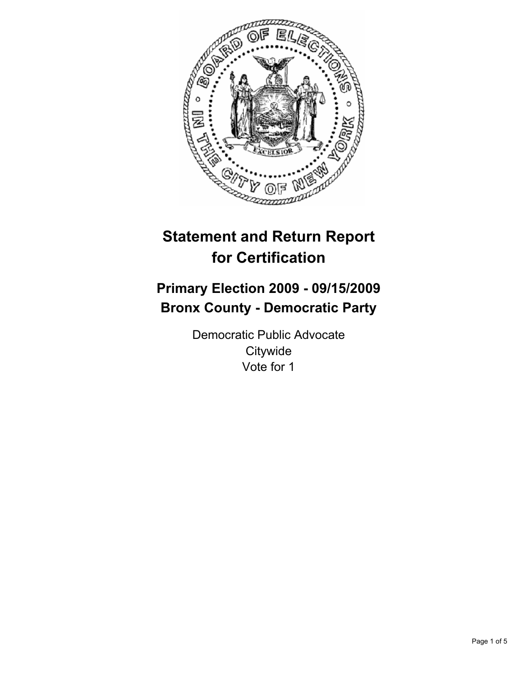

# **Statement and Return Report for Certification**

# **Primary Election 2009 - 09/15/2009 Bronx County - Democratic Party**

Democratic Public Advocate **Citywide** Vote for 1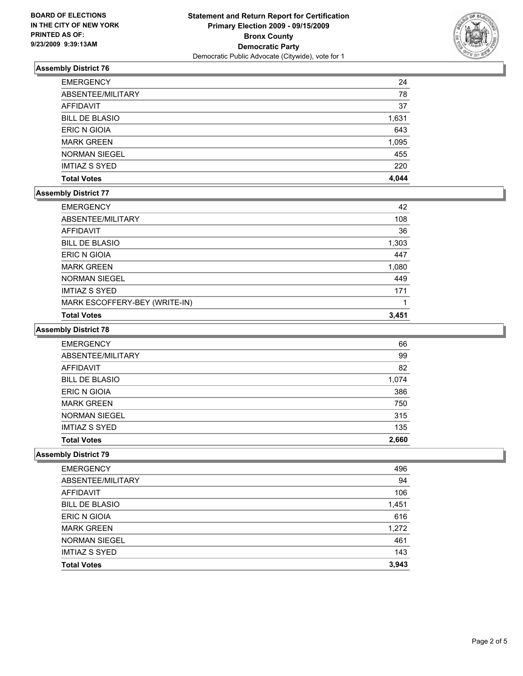

# **Assembly District 76**

| <b>EMERGENCY</b>      | 24    |
|-----------------------|-------|
| ABSENTEE/MILITARY     | 78    |
| AFFIDAVIT             | 37    |
| <b>BILL DE BLASIO</b> | 1,631 |
| ERIC N GIOIA          | 643   |
| <b>MARK GREEN</b>     | 1,095 |
| <b>NORMAN SIEGEL</b>  | 455   |
| <b>IMTIAZ S SYED</b>  | 220   |
| <b>Total Votes</b>    | 4.044 |

## **Assembly District 77**

| <b>EMERGENCY</b>              | 42    |
|-------------------------------|-------|
| ABSENTEE/MILITARY             | 108   |
| AFFIDAVIT                     | 36    |
| <b>BILL DE BLASIO</b>         | 1,303 |
| ERIC N GIOIA                  | 447   |
| <b>MARK GREEN</b>             | 1,080 |
| <b>NORMAN SIEGEL</b>          | 449   |
| <b>IMTIAZ S SYED</b>          | 171   |
| MARK ESCOFFERY-BEY (WRITE-IN) |       |
| <b>Total Votes</b>            | 3,451 |

## **Assembly District 78**

| <b>EMERGENCY</b>      | 66    |
|-----------------------|-------|
| ABSENTEE/MILITARY     | 99    |
| <b>AFFIDAVIT</b>      | 82    |
| <b>BILL DE BLASIO</b> | 1,074 |
| <b>ERIC N GIOIA</b>   | 386   |
| <b>MARK GREEN</b>     | 750   |
| <b>NORMAN SIEGEL</b>  | 315   |
| <b>IMTIAZ S SYED</b>  | 135   |
| <b>Total Votes</b>    | 2.660 |

## **Assembly District 79**

| <b>EMERGENCY</b>      | 496   |
|-----------------------|-------|
| ABSENTEE/MILITARY     | 94    |
| <b>AFFIDAVIT</b>      | 106   |
| <b>BILL DE BLASIO</b> | 1,451 |
| ERIC N GIOIA          | 616   |
| <b>MARK GREEN</b>     | 1,272 |
| <b>NORMAN SIEGEL</b>  | 461   |
| <b>IMTIAZ S SYED</b>  | 143   |
| <b>Total Votes</b>    | 3.943 |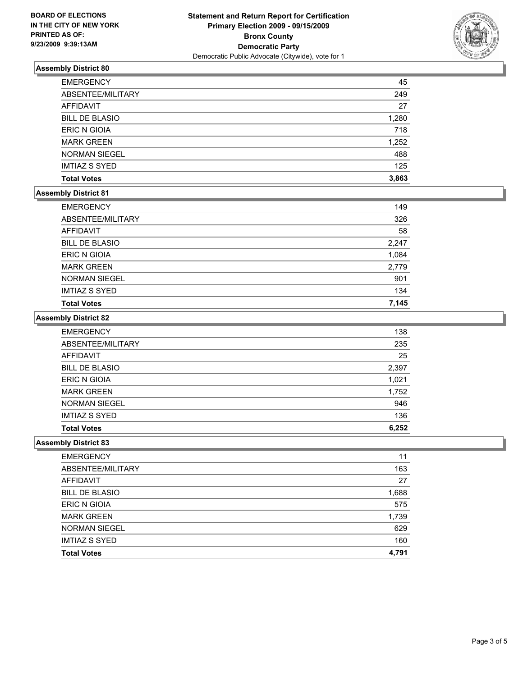

# **Assembly District 80**

| <b>EMERGENCY</b>      | 45    |
|-----------------------|-------|
| ABSENTEE/MILITARY     | 249   |
| AFFIDAVIT             | 27    |
| <b>BILL DE BLASIO</b> | 1,280 |
| <b>ERIC N GIOIA</b>   | 718   |
| <b>MARK GREEN</b>     | 1,252 |
| <b>NORMAN SIEGEL</b>  | 488   |
| <b>IMTIAZ S SYED</b>  | 125   |
| <b>Total Votes</b>    | 3,863 |

## **Assembly District 81**

| <b>EMERGENCY</b>      | 149   |
|-----------------------|-------|
| ABSENTEE/MILITARY     | 326   |
| AFFIDAVIT             | 58    |
| <b>BILL DE BLASIO</b> | 2,247 |
| <b>ERIC N GIOIA</b>   | 1,084 |
| <b>MARK GREEN</b>     | 2,779 |
| <b>NORMAN SIEGEL</b>  | 901   |
| <b>IMTIAZ S SYED</b>  | 134   |
| <b>Total Votes</b>    | 7,145 |

#### **Assembly District 82**

| <b>EMERGENCY</b>      | 138   |
|-----------------------|-------|
| ABSENTEE/MILITARY     | 235   |
| AFFIDAVIT             | 25    |
| <b>BILL DE BLASIO</b> | 2,397 |
| ERIC N GIOIA          | 1,021 |
| <b>MARK GREEN</b>     | 1,752 |
| <b>NORMAN SIEGEL</b>  | 946   |
| <b>IMTIAZ S SYED</b>  | 136   |
| <b>Total Votes</b>    | 6,252 |

## **Assembly District 83**

| <b>EMERGENCY</b>      | 11    |
|-----------------------|-------|
| ABSENTEE/MILITARY     | 163   |
| AFFIDAVIT             | 27    |
| <b>BILL DE BLASIO</b> | 1,688 |
| ERIC N GIOIA          | 575   |
| <b>MARK GREEN</b>     | 1,739 |
| <b>NORMAN SIEGEL</b>  | 629   |
| <b>IMTIAZ S SYED</b>  | 160   |
| <b>Total Votes</b>    | 4.791 |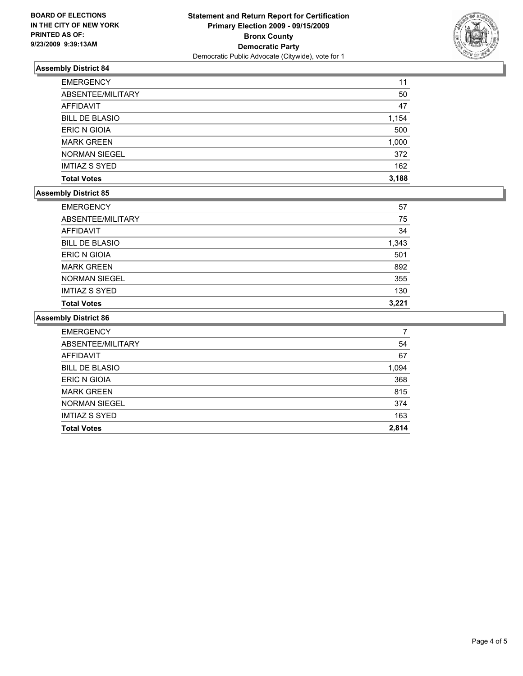

# **Assembly District 84**

| <b>EMERGENCY</b>      | 11    |
|-----------------------|-------|
| ABSENTEE/MILITARY     | 50    |
| AFFIDAVIT             | 47    |
| <b>BILL DE BLASIO</b> | 1,154 |
| <b>ERIC N GIOIA</b>   | 500   |
| <b>MARK GREEN</b>     | 1,000 |
| <b>NORMAN SIEGEL</b>  | 372   |
| <b>IMTIAZ S SYED</b>  | 162   |
| <b>Total Votes</b>    | 3,188 |

## **Assembly District 85**

| <b>EMERGENCY</b>      | 57    |
|-----------------------|-------|
| ABSENTEE/MILITARY     | 75    |
| <b>AFFIDAVIT</b>      | 34    |
| <b>BILL DE BLASIO</b> | 1,343 |
| ERIC N GIOIA          | 501   |
| <b>MARK GREEN</b>     | 892   |
| <b>NORMAN SIEGEL</b>  | 355   |
| <b>IMTIAZ S SYED</b>  | 130   |
| <b>Total Votes</b>    | 3.221 |

## **Assembly District 86**

| <b>EMERGENCY</b>      |       |
|-----------------------|-------|
| ABSENTEE/MILITARY     | 54    |
| <b>AFFIDAVIT</b>      | 67    |
| <b>BILL DE BLASIO</b> | 1,094 |
| <b>ERIC N GIOIA</b>   | 368   |
| <b>MARK GREEN</b>     | 815   |
| <b>NORMAN SIEGEL</b>  | 374   |
| <b>IMTIAZ S SYED</b>  | 163   |
| <b>Total Votes</b>    | 2,814 |